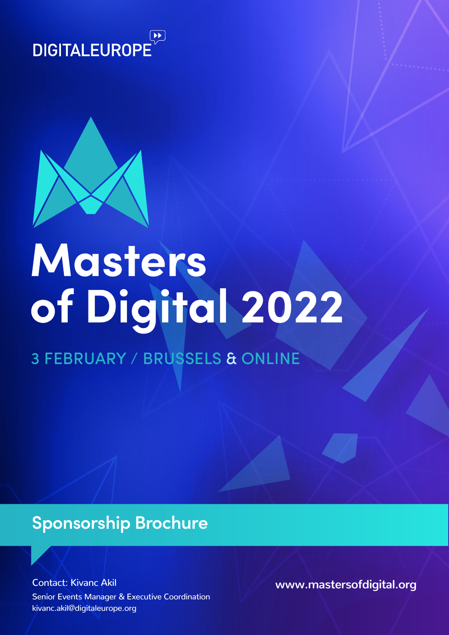



# Masters of Digital 2022

3 FEBRUARY / BRUSSELS & ONLINE

# **Sponsorship Brochure**

kivanc.akil@digitaleurope.org Senior Events Manager & Executive Coordination Contact: Kivanc Akil **www.mastersofdigital.org**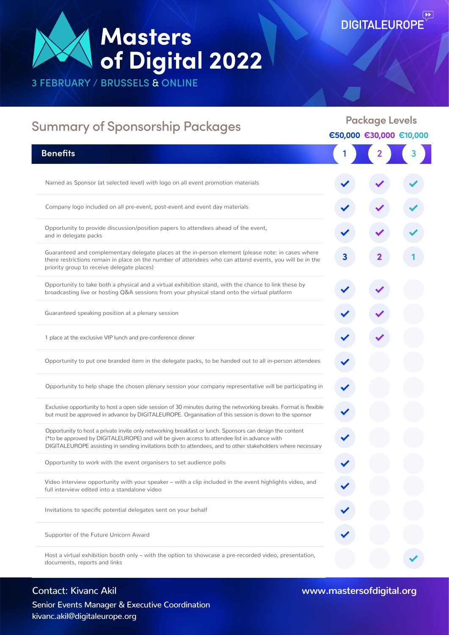# **Masters<br>of Digital 2022**

3 FEBRUARY / BRUSSELS & ONLINE

| <b>Summary of Sponsorship Packages</b>                                                                                                                                                                                                                                                                                  | <b>Package Levels</b><br>€50,000 €30,000 €10,000 |                                                                |  |
|-------------------------------------------------------------------------------------------------------------------------------------------------------------------------------------------------------------------------------------------------------------------------------------------------------------------------|--------------------------------------------------|----------------------------------------------------------------|--|
|                                                                                                                                                                                                                                                                                                                         |                                                  |                                                                |  |
| <b>Benefits</b>                                                                                                                                                                                                                                                                                                         |                                                  | $\begin{array}{ c c c }\n\hline\n2 & 3 \\ \hline\n\end{array}$ |  |
| Named as Sponsor (at selected level) with logo on all event promotion materials                                                                                                                                                                                                                                         |                                                  |                                                                |  |
| Company logo included on all pre-event, post-event and event day materials                                                                                                                                                                                                                                              |                                                  |                                                                |  |
| Opportunity to provide discussion/position papers to attendees ahead of the event,<br>and in delegate packs                                                                                                                                                                                                             |                                                  |                                                                |  |
| Guaranteed and complementary delegate places at the in-person element (please note: in cases where<br>there restrictions remain in place on the number of attendees who can attend events, you will be in the<br>priority group to receive delegate places)                                                             | 3                                                |                                                                |  |
| Opportunity to take both a physical and a virtual exhibition stand, with the chance to link these by<br>broadcasting live or hosting Q&A sessions from your physical stand onto the virtual platform                                                                                                                    |                                                  |                                                                |  |
| Guaranteed speaking position at a plenary session                                                                                                                                                                                                                                                                       |                                                  |                                                                |  |
| 1 place at the exclusive VIP lunch and pre-conference dinner                                                                                                                                                                                                                                                            |                                                  |                                                                |  |
| Opportunity to put one branded item in the delegate packs, to be handed out to all in-person attendees                                                                                                                                                                                                                  |                                                  |                                                                |  |
| Opportunity to help shape the chosen plenary session your company representative will be participating in                                                                                                                                                                                                               |                                                  |                                                                |  |
| Exclusive opportunity to host a open side session of 30 minutes during the networking breaks. Format is flexible<br>but must be approved in advance by DIGITALEUROPE. Organisation of this session is down to the sponsor                                                                                               |                                                  |                                                                |  |
| Opportunity to host a private invite only networking breakfast or lunch. Sponsors can design the content<br>(*to be approved by DIGITALEUROPE) and will be given access to attendee list in advance with<br>DIGITALEUROPE assisting in sending invitations both to attendees, and to other stakeholders where necessary |                                                  |                                                                |  |
| Opportunity to work with the event organisers to set audience polls                                                                                                                                                                                                                                                     |                                                  |                                                                |  |
| Video interview opportunity with your speaker - with a clip included in the event highlights video, and<br>full interview edited into a standalone video                                                                                                                                                                |                                                  |                                                                |  |
| Invitations to specific potential delegates sent on your behalf                                                                                                                                                                                                                                                         |                                                  |                                                                |  |
| Supporter of the Future Unicorn Award                                                                                                                                                                                                                                                                                   |                                                  |                                                                |  |
| Host a virtual exhibition booth only – with the option to showcase a pre-recorded video, presentation,<br>documents, reports and links                                                                                                                                                                                  |                                                  |                                                                |  |

kivanc.akil@digitaleurope.org Senior Events Manager & Executive Coordination

Contact: Kivanc Akil **www.mastersofdigital.org**

 $Q$ 

**DIGITALEUROPE**